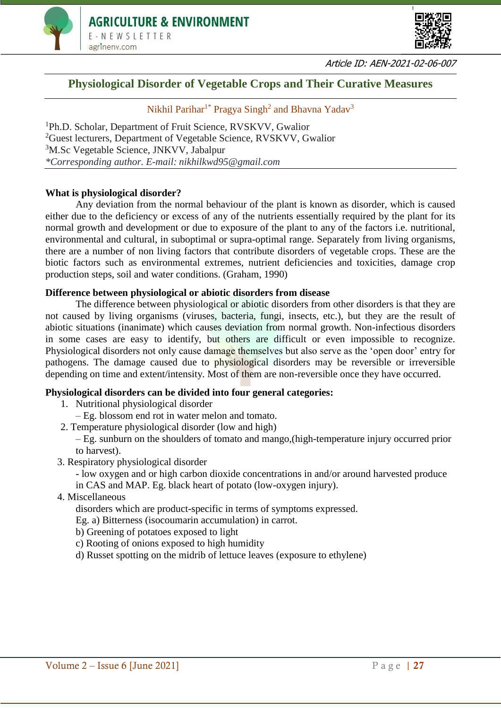



Article ID: AEN-2021-02-06-007

# **Physiological Disorder of Vegetable Crops and Their Curative Measures**

Nikhil Parihar<sup>1\*</sup> Pragya Singh<sup>2</sup> and Bhavna Yadav<sup>3</sup>

Ph.D. Scholar, Department of Fruit Science, RVSKVV, Gwalior Guest lecturers, Department of Vegetable Science, RVSKVV, Gwalior M.Sc Vegetable Science, JNKVV, Jabalpur *\*Corresponding author. E-mail: nikhilkwd95@gmail.com*

### **What is physiological disorder?**

Any deviation from the normal behaviour of the plant is known as disorder, which is caused either due to the deficiency or excess of any of the nutrients essentially required by the plant for its normal growth and development or due to exposure of the plant to any of the factors i.e. nutritional, environmental and cultural, in suboptimal or supra-optimal range. Separately from living organisms, there are a number of non living factors that contribute disorders of vegetable crops. These are the biotic factors such as environmental extremes, nutrient deficiencies and toxicities, damage crop production steps, soil and water conditions. (Graham, 1990)

#### **Difference between physiological or abiotic disorders from disease**

The difference between physiological or abiotic disorders from other disorders is that they are not caused by living organisms (viruses, bacteria, fungi, insects, etc.), but they are the result of abiotic situations (inanimate) which causes deviation from normal growth. Non-infectious disorders in some cases are easy to identify, but others are difficult or even impossible to recognize. Physiological disorders not only cause damage themselves but also serve as the 'open door' entry for pathogens. The damage caused due to physiological disorders may be reversible or irreversible depending on time and extent/intensity. Most of them are non-reversible once they have occurred.

# **Physiological disorders can be divided into four general categories:**

- 1. Nutritional physiological disorder
- Eg. blossom end rot in water melon and tomato.
- 2. Temperature physiological disorder (low and high)
	- Eg. sunburn on the shoulders of tomato and mango,(high-temperature injury occurred prior to harvest).
- 3. Respiratory physiological disorder

- low oxygen and or high carbon dioxide concentrations in and/or around harvested produce

- in CAS and MAP. Eg. black heart of potato (low-oxygen injury).
- 4. Miscellaneous

disorders which are product-specific in terms of symptoms expressed.

Eg. a) Bitterness (isocoumarin accumulation) in carrot.

- b) Greening of potatoes exposed to light
- c) Rooting of onions exposed to high humidity
- d) Russet spotting on the midrib of lettuce leaves (exposure to ethylene)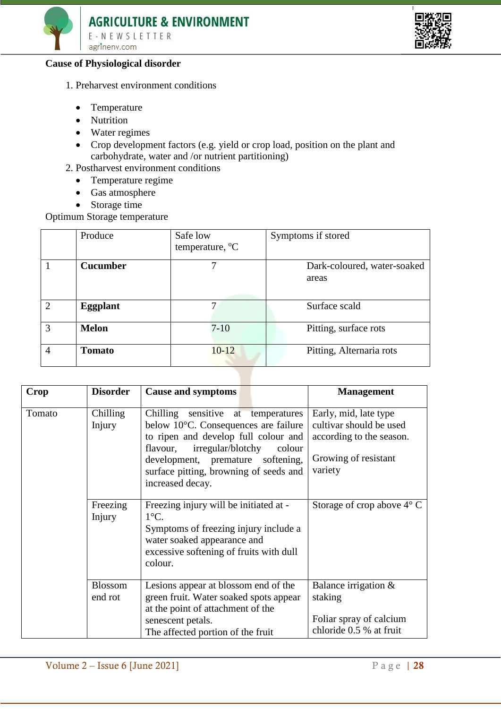



### **Cause of Physiological disorder**

- 1. Preharvest environment conditions
	- Temperature
	- Nutrition
	- Water regimes
	- Crop development factors (e.g. yield or crop load, position on the plant and carbohydrate, water and /or nutrient partitioning)
- 2. Postharvest environment conditions
	- Temperature regime
	- Gas atmosphere
	- [Storage](http://ecoursesonline.iasri.res.in/mod/page/view.php?id=16545) time

Optimum Storage temperature

|   | Produce         | Safe low<br>temperature, <sup>o</sup> C | Symptoms if stored          |
|---|-----------------|-----------------------------------------|-----------------------------|
|   |                 |                                         |                             |
|   | <b>Cucumber</b> |                                         | Dark-coloured, water-soaked |
|   |                 |                                         | areas                       |
|   |                 |                                         |                             |
| 2 | <b>Eggplant</b> | 7                                       | Surface scald               |
|   |                 |                                         |                             |
| 3 | <b>Melon</b>    | $7-10$                                  | Pitting, surface rots       |
| 4 | <b>Tomato</b>   | $10 - 12$                               | Pitting, Alternaria rots    |
|   |                 |                                         |                             |

| Crop   | <b>Disorder</b>           | <b>Cause and symptoms</b>                                                                                                                                                                                                                                           | <b>Management</b>                                                                                               |
|--------|---------------------------|---------------------------------------------------------------------------------------------------------------------------------------------------------------------------------------------------------------------------------------------------------------------|-----------------------------------------------------------------------------------------------------------------|
| Tomato | Chilling<br>Injury        | Chilling sensitive at temperatures<br>below 10°C. Consequences are failure<br>to ripen and develop full colour and<br>irregular/blotchy<br>flavour,<br>colour<br>development, premature<br>softening,<br>surface pitting, browning of seeds and<br>increased decay. | Early, mid, late type<br>cultivar should be used<br>according to the season.<br>Growing of resistant<br>variety |
|        | Freezing<br>Injury        | Freezing injury will be initiated at -<br>$1^{\circ}$ C.<br>Symptoms of freezing injury include a<br>water soaked appearance and<br>excessive softening of fruits with dull<br>colour.                                                                              | Storage of crop above $4^{\circ}$ C                                                                             |
|        | <b>Blossom</b><br>end rot | Lesions appear at blossom end of the<br>green fruit. Water soaked spots appear<br>at the point of attachment of the<br>senescent petals.<br>The affected portion of the fruit                                                                                       | Balance irrigation $\&$<br>staking<br>Foliar spray of calcium<br>chloride 0.5 % at fruit                        |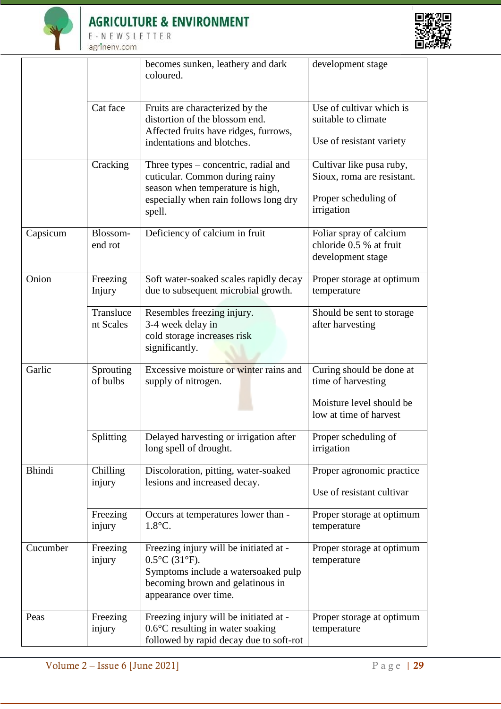

 $E - N E W S L E T T E R$ agrinenv.com



|               | becomes sunken, leathery and dark<br>coloured. |                                                                                                                                                                                  | development stage                                                                                    |
|---------------|------------------------------------------------|----------------------------------------------------------------------------------------------------------------------------------------------------------------------------------|------------------------------------------------------------------------------------------------------|
|               | Cat face                                       | Fruits are characterized by the<br>distortion of the blossom end.<br>Affected fruits have ridges, furrows,                                                                       | Use of cultivar which is<br>suitable to climate                                                      |
|               |                                                | indentations and blotches.                                                                                                                                                       | Use of resistant variety                                                                             |
|               | Cracking                                       | Three types – concentric, radial and<br>cuticular. Common during rainy<br>season when temperature is high,<br>especially when rain follows long dry<br>spell.                    | Cultivar like pusa ruby,<br>Sioux, roma are resistant.<br>Proper scheduling of<br>irrigation         |
| Capsicum      | Blossom-<br>end rot                            | Deficiency of calcium in fruit                                                                                                                                                   | Foliar spray of calcium<br>chloride 0.5 % at fruit<br>development stage                              |
| Onion         | Freezing<br>Injury                             | Soft water-soaked scales rapidly decay<br>due to subsequent microbial growth.                                                                                                    | Proper storage at optimum<br>temperature                                                             |
|               | Transluce<br>nt Scales                         | Resembles freezing injury.<br>3-4 week delay in<br>cold storage increases risk<br>significantly.                                                                                 | Should be sent to storage<br>after harvesting                                                        |
| Garlic        | Sprouting<br>of bulbs                          | Excessive moisture or winter rains and<br>supply of nitrogen.                                                                                                                    | Curing should be done at<br>time of harvesting<br>Moisture level should be<br>low at time of harvest |
|               | Splitting                                      | Delayed harvesting or irrigation after<br>long spell of drought.                                                                                                                 | Proper scheduling of<br>irrigation                                                                   |
| <b>Bhindi</b> | Chilling<br>injury                             | Discoloration, pitting, water-soaked<br>lesions and increased decay.                                                                                                             | Proper agronomic practice<br>Use of resistant cultivar                                               |
|               | Freezing<br>injury                             | Occurs at temperatures lower than -<br>$1.8^{\circ}$ C.                                                                                                                          | Proper storage at optimum<br>temperature                                                             |
| Cucumber      | Freezing<br>injury                             | Freezing injury will be initiated at -<br>$0.5^{\circ}$ C (31 $^{\circ}$ F).<br>Symptoms include a watersoaked pulp<br>becoming brown and gelatinous in<br>appearance over time. | Proper storage at optimum<br>temperature                                                             |
| Peas          | Freezing<br>injury                             | Freezing injury will be initiated at -<br>$0.6^{\circ}$ C resulting in water soaking<br>followed by rapid decay due to soft-rot                                                  | Proper storage at optimum<br>temperature                                                             |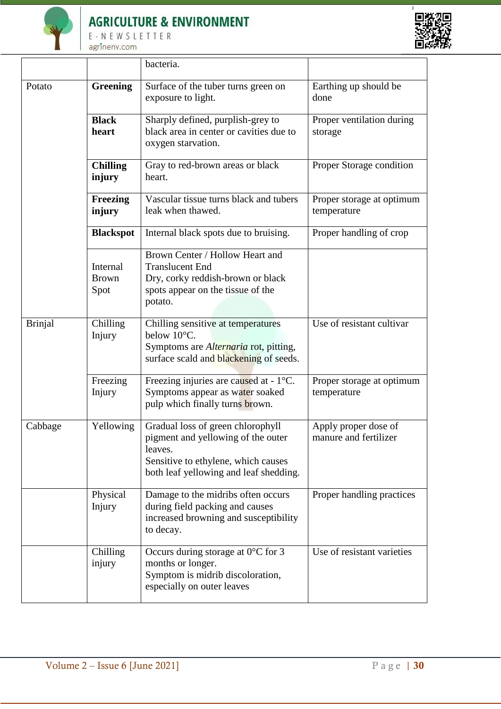

# **AGRICULTURE & ENVIRONMENT**

 $E - N E W S L E T T E R$ agrinenv.com



|                |                                  | bacteria.                                                                                                                                                           |                                               |
|----------------|----------------------------------|---------------------------------------------------------------------------------------------------------------------------------------------------------------------|-----------------------------------------------|
| Potato         | <b>Greening</b>                  | Surface of the tuber turns green on<br>exposure to light.                                                                                                           | Earthing up should be<br>done                 |
|                | <b>Black</b><br>heart            | Sharply defined, purplish-grey to<br>black area in center or cavities due to<br>oxygen starvation.                                                                  | Proper ventilation during<br>storage          |
|                | <b>Chilling</b><br>injury        | Gray to red-brown areas or black<br>heart.                                                                                                                          | Proper Storage condition                      |
|                | <b>Freezing</b><br>injury        | Vascular tissue turns black and tubers<br>leak when thawed.                                                                                                         | Proper storage at optimum<br>temperature      |
|                | <b>Blackspot</b>                 | Internal black spots due to bruising.                                                                                                                               | Proper handling of crop                       |
|                | Internal<br><b>Brown</b><br>Spot | Brown Center / Hollow Heart and<br><b>Translucent End</b><br>Dry, corky reddish-brown or black<br>spots appear on the tissue of the<br>potato.                      |                                               |
| <b>Brinjal</b> | Chilling<br>Injury               | Chilling sensitive at temperatures<br>below 10°C.<br>Symptoms are <i>Alternaria</i> rot, pitting,<br>surface scald and blackening of seeds.                         | Use of resistant cultivar                     |
|                | Freezing<br>Injury               | Freezing injuries are caused at - 1°C.<br>Symptoms appear as water soaked<br>pulp which finally turns brown.                                                        | Proper storage at optimum<br>temperature      |
| Cabbage        | Yellowing                        | Gradual loss of green chlorophyll<br>pigment and yellowing of the outer<br>leaves.<br>Sensitive to ethylene, which causes<br>both leaf yellowing and leaf shedding. | Apply proper dose of<br>manure and fertilizer |
|                | Physical<br>Injury               | Damage to the midribs often occurs<br>during field packing and causes<br>increased browning and susceptibility<br>to decay.                                         | Proper handling practices                     |
|                | Chilling<br>injury               | Occurs during storage at $0^{\circ}$ C for 3<br>months or longer.<br>Symptom is midrib discoloration,<br>especially on outer leaves                                 | Use of resistant varieties                    |